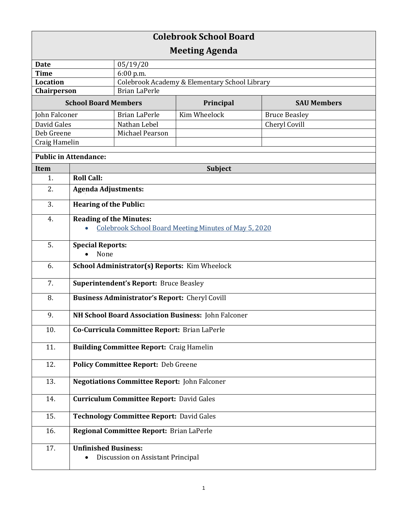| <b>Colebrook School Board</b>       |                                                                                         |                                               |              |                      |  |
|-------------------------------------|-----------------------------------------------------------------------------------------|-----------------------------------------------|--------------|----------------------|--|
| <b>Meeting Agenda</b>               |                                                                                         |                                               |              |                      |  |
| <b>Date</b>                         |                                                                                         | 05/19/20                                      |              |                      |  |
| <b>Time</b>                         |                                                                                         | 6:00 p.m.                                     |              |                      |  |
| <b>Location</b>                     |                                                                                         | Colebrook Academy & Elementary School Library |              |                      |  |
| <b>Brian LaPerle</b><br>Chairperson |                                                                                         |                                               |              |                      |  |
| <b>School Board Members</b>         |                                                                                         |                                               | Principal    | <b>SAU Members</b>   |  |
| John Falconer                       |                                                                                         | <b>Brian LaPerle</b>                          | Kim Wheelock | <b>Bruce Beasley</b> |  |
| David Gales                         |                                                                                         | Nathan Lebel                                  |              | Cheryl Covill        |  |
| Deb Greene                          |                                                                                         | Michael Pearson                               |              |                      |  |
| Craig Hamelin                       |                                                                                         |                                               |              |                      |  |
| <b>Public in Attendance:</b>        |                                                                                         |                                               |              |                      |  |
| Item                                | <b>Subject</b>                                                                          |                                               |              |                      |  |
| 1.                                  | <b>Roll Call:</b>                                                                       |                                               |              |                      |  |
| 2.                                  | <b>Agenda Adjustments:</b>                                                              |                                               |              |                      |  |
| 3.                                  | <b>Hearing of the Public:</b>                                                           |                                               |              |                      |  |
| 4.                                  | <b>Reading of the Minutes:</b><br>Colebrook School Board Meeting Minutes of May 5, 2020 |                                               |              |                      |  |
| 5.                                  | <b>Special Reports:</b><br>None                                                         |                                               |              |                      |  |
| 6.                                  | School Administrator(s) Reports: Kim Wheelock                                           |                                               |              |                      |  |
| 7.                                  | <b>Superintendent's Report: Bruce Beasley</b>                                           |                                               |              |                      |  |
| 8.                                  | <b>Business Administrator's Report:</b> Cheryl Covill                                   |                                               |              |                      |  |
| 9.                                  | NH School Board Association Business: John Falconer                                     |                                               |              |                      |  |
| 10.                                 | Co-Curricula Committee Report: Brian LaPerle                                            |                                               |              |                      |  |
| 11.                                 | <b>Building Committee Report: Craig Hamelin</b>                                         |                                               |              |                      |  |
| 12.                                 | <b>Policy Committee Report: Deb Greene</b>                                              |                                               |              |                      |  |
| 13.                                 | <b>Negotiations Committee Report: John Falconer</b>                                     |                                               |              |                      |  |
| 14.                                 | <b>Curriculum Committee Report: David Gales</b>                                         |                                               |              |                      |  |
| 15.                                 | <b>Technology Committee Report: David Gales</b>                                         |                                               |              |                      |  |
| 16.                                 | Regional Committee Report: Brian LaPerle                                                |                                               |              |                      |  |
| 17.                                 | <b>Unfinished Business:</b>                                                             | Discussion on Assistant Principal             |              |                      |  |